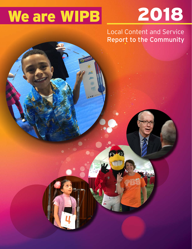# We are WIPB 2018

 $c_{\mathcal{O}}$ 

Local Content and Service Report to the Community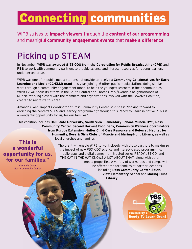## Connecting communities

WIPB strives to **impact viewers** through the **content of our programming** and meanigful **community engagement events** that **make a difference**.

## Picking up STEAM

In November, WIPB was **awarded \$175,000 from the Corporation for Public Broadcasting (CPB)** and **PBS** to work with community partners to provide science and literacy resources for young learners in underserved areas.

WIPB was one of 14 public media stations nationwide to receive a **Community Collaboratives for Early Learning and Media (CC-ELM) grant** this year, joining 16 other public media stations doing similar work through a community engagement model to help the youngest learners in their communities. WIPB-TV will focus its efforts in the South Central and Thomas Park/Avondale neighborhoods of Muncie, working closely with the members and organizations involved with the 8twelve Coalition, created to revitalize this area.

Amanda Owen, Impact Coordinator at Ross Community Center, said she is "looking forward to enriching the center's STEM and literacy programming" through this Ready to Learn initiative. "This is a wonderful opportunity for us, for our families."

This coalition includes **Ball State University, South View Elementary School, Muncie BY5, Ross Community Center, Second Harvest Food Bank, Community Wellness Coordinators from Purdue Extension, Huffer Child Care Resource** and **Referral, Habitat for Humanity, Boys & Girls Clubs of Muncie and Maring-Hunt Library**, as well as local churches and families.

#### This is a wonderful opportunity for us, for our families."

 $-A$ manda Owen **Ross Community Center** 

WIPB Public Television 2018 Local Content and Service Report and Service Report and Service Report and Service

The grant will enable WIPB to work closely with these partners to maximize the impact of new PBS KIDS science and literacy-based programming, mobile apps and digital games from trusted series READY JET GO! and THE CAT IN THE HAT KNOWS A LOT ABOUT THAT! along with other media properties. A variety of workshops and camps will be offered free for families at partner locations, including **Ross Community Center, South View Elementary School** and **Maring-Hunt Library.**

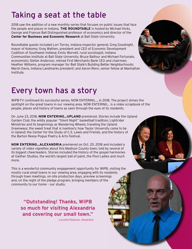## Taking a seat at the table

2018 saw the addition of a new monthly series that focuses on public issues that face the people and places in Indiana. **THE ROUNDTABLE** is hosted by Michael Hicks, George and Frances Ball Distinguished professor of economics and director of the **Center for Business and Economic Research** at Ball State University.

Roundtable guests included Lori Torres, Indiana inspector general; Greg Goodnight, mayor of Kokomo; Greg Wathen, president and CEO of Economic Development Coalition of Southwest Indiana; Emily Wornell, rural sociologist, Indiana Communities Institute at Ball State University; Bruce Balfour and Michael Fortunato, economists; Stefan Anderson, retired First Merchants Bank CEO and chairman; Heather Williams, program manager for Ball State's Building Better Neighborhoods; Marsh Davis, Indiana Landmarks president; and Aaron Renn, senior fellow at Manhattan Institute.

## Every town has a story

WIPB-TV continued its successful series, NOW ENTERING…, in 2018. The project shines the spotlight on the great towns in our viewing area. NOW ENTERING… is a video scrapbook of the people, places and history of towns as seen through the eyes of its residents.

On June 23, 2018, **NOW ENTERING…UPLAND** premiered. Stories include the Upland Garden Club; the wildly popular "Silent Night" basketball tradition; Lightrider Ministries and its beginnings as Wandering Wheels; traveling the Upland Greenways; the sweet treat that is Ivanhoe's; how Taylor University came to be in Upland; the Center for the Study of C.S. Lewis and Friends, and the history of the Barton Reese Pogue Poetry & Arts Festival.

**NOW ENTERING…ALEXANDRIA** premiered on Oct. 20, 2018 and included a variety of video vignettes about this Madison County town, told by several of its biggest cheerleaders. Stories included the history of the gospel harmonies at Gaither Studios, the world's largest ball of paint, the Pool Ladies and much more.

This is a wonderful community engagement opportunity for WIPB, visiting the mostly rural small towns in our viewing area, engaging with its residents through town meetings, on-site production days, preview screenings and, on the night of the pledge program, bringing members of the community to our home – our studio.

**"Outstanding! Thanks, WIPB so much for visiting Alexandria and covering our small town."**

WIPB Public Television 2018 Local Content and Service Report WIPB Public Television 2018 Local Content and Service Report

 *-Lucretia Ferguson, Alexandria*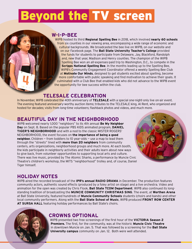## Beyond the TV screen

#### **W-I-P-BEE**

WIPB hosted its third **Regional Spelling Bee** in 2018, which involved **nearly 60 schools**  from six counties in our viewing area, encompassing a wide range of economic and cultural backgrounds. We broadcasted the bee live on WIPB, on our website and on our Facebook page. The **Ball State University Teacher's College** provided the funds for students to participate from Delaware, Jay, Blackford, Randolph and, new that year, Madison and Henry counties. The champion of the WIPB Spelling Bee won an all-expenses-paid trip to Washington, D.C., to compete in the **Scripps National Spelling Bee**. In the months leading up to the Spelling Bee, WIPB's Community Engagement Coordinator offered a weekly Spelling Bee Club at **Motivate Our Minds**, designed to get students excited about spelling, become more comfortable with public speaking and find motivation to achieve their goals. It culminated with a Club Bee that enabled kids who did not advance to the WIPB event the opportunity for bee success within the club.

#### **TELESALE CELEBRATION**

In November, WIPB celebrated the 40th anniversary of **TELESALE** with a special one-night-only live on-air event. The evening featured anniversary-worthy auction items; tributes to the TELESALE king, AI Rent, who organized and hosted for decades; visits from long-time volunteers; flashback photos and videos, and much more.

#### **BEAUTIFUL DAY IN THE NEIGHBORHOOD**

WIPB welcomed nearly 1,000 "neighbors" to its 4th annual **Be My Neighbor Day** on Sept. 8. Based on the popular PBS KIDS animated program, **DANIEL TIGER'S NEIGHBORHOOD** and with a nod to the classic MISTER ROGERS' NEIGHBORHOOD, the event focuses on **the importance of being a good neighbor.** Children – from toddlers to 10 year-olds – use a map to lead them through the "streets" lined with **more than 20 neighbors** from community centers, arts organizations, neighborhood groups and much more. At each booth, the kids participate in neighborly activities and their adults learn about new ways to give back, from volunteer opportunities to supporting local arts and culture. There was live music, provided by The Atomic Sharks, a performance by Muncie Civic Theatre's children's workshop, the MITS "neighborhood" trolley and, of course, Daniel Tiger himself.



#### **HOLIDAY NOTES**

WIPB aired the recorded broadcast of the **IPR's annual RADIO DRAMA** in December. The production features community actors, authentic sound effects (produced by a foley artist on stage) and a live orchestra. Video and animation for the open was created by Chris Flook, **Ball State TCOM Department**. WIPB also continued its longstanding tradition of broadcasting the **MUNCIE COMMUNITY CHRISTMAS SING**. The event, at **Worthen Arena** at Ball State University, featured hundreds of **Muncie Community Schools** students (choirs and bands) and other local community performers. Along with the **Ball State School of Music**, WIPB produced **FRONT ROW CENTER AT SURSA HALL** featuring holiday performances by Ball State's choirs.



#### **CROWNS OPTIONAL**

WIPB presented two free screenings of the first hour of the **VICTORIA Season 2 Premiere.** The first, for the community, was at the historic **Muncie Civic Theatre** in downtown Muncie on Jan. 5. That was followed by a screening for the **Ball State University campus** community on Jan. 12. Both were well attended.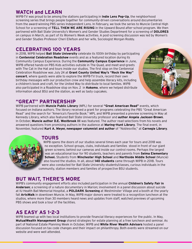#### **WATCH and LEARN**

WIPB-TV was proud to be among the stations participating in **Indie Lens Pop-Up**, the neighborhood screening series that brings people together for community-driven conversations around documentaries from the award-winning PBS series Independent Lens. In February, we took the series to Muncie Central High School for a screening of **TELL THEM WE ARE RISING** in the Upward Bound after-school program. We then partnered with Ball State University's Women's and Gender Studies Department for a screening of **DOLORES** on campus in March, as part of its Women's Week activities. A post-screening discussion was led by Women's and Gender Studies Professor Cheri Ellefson and her wife, Sociologist Morgan Roddy.

#### **CELEBRATING 100 YEARS**

In 2018, WIPB helped **Ball State University** celebrate its 100th birthday by participating in **Centennial Celebration Roadshow** events and as a featured location during its Community Campus Experience. During the **Community Campus Experience** in June, WIPB offered hands-on PBS Kids activities outside in The Quad, and meet-and-greets with The Cat in the Hat and tours inside our studios. The first stop on the Centennial Celebration Roadshow was July 24 at **Grant County United Way's "Rock the Way" concert**, where guests were able to explore the WIPB-TV truck, record their own birthday messages with our production crew and help assemble literacy kits, including a children's book and craft, for the United Way to distribute to local families. WIPB also participated in a Roadshow stop on Nov. 2 in **Kokomo**, where we helped distribute information about BSU and the station, as well as tasty cupcakes.



#### **"GREAT" PARTNERSHIP**

WIPB partnered with **Muncie Public Library** (MPL) for several **"Great American Read"** events, which focused on Indiana authors. The library received a grant for programs celebrating the PBS "Great American Read" and the search for "America's Favorite Book." MPL and WIPB presented a preview screening in May at Kennedy Library, which also featured Ball State University professor and **author Angela Jackson-Brown**. In October, **Muncie author D.E. Westbrook III** was featured. The author read selections from his novels and answered questions from promising authors in the audience at **Maring-Hunt Library**. The final event, in November, featured **Kurt A. Meyer, newspaper columnist and author** of "Noblesville," at **Carnegie Library**.

#### **TOURS**

WIPB opens the doors of our studios several times each year for tours and 2018 was no exception. School groups, clubs, individuals and families stood in front of our giant green screens; behind our cameras and inside our control rooms. Perhaps the largest was an educational tour for 90 students, teachers and parents from **Selma Elementary School.** Students from **Winchester High School** and **Northside Middle School** (Muncie) also toured the studios. In all, about **140 students** came through WIPB in 2018. Tours were also conducted for Ball State University students/classes, curious individuals in the community, station members and families of prospective BSU students.

#### **BUT WAIT, THERE'S MORE**

WIPB's community engagement efforts also included participation in the annual **Children's Safety Fair in Anderson**; a screening of a nature documentary in Marion; involvement in a panel discussion about suicide at IU Health Ball Memorial Hospital, a **POLDARK Screening** at Westminster Village and a booth at the yearly fall **ArtsWalk** in downtown Muncie. In May, WIPB major donors were treated to a recognition luncheon at the studios, where more than 30 members heard news and updates from staff, watched previews of upcoming PBS shows and took a tour of the facilities.

#### **AS EASY AS 1-2-3**

WIPB teamed up with two local institutions to provide financial literacy experiences for the public. In May, **MutualWealth Management Group** shared strategies for estate planning at a free luncheon and seminar. As part of National Estate Planning Week in October, WIPB and **White River Wealth Advisors** hosted a panel discussion focused on tax code changes and their impact on philanthropy. Both events were streamed on our website and were well attended.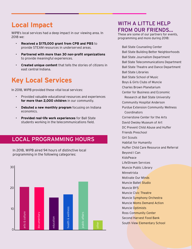### **Local Impact**

WIPB's local services had a deep impact in our viewing area. In 2018 we:

- **Received a \$175,000 grant from CPB and PBS** to provide STEAM resources in underserved areas.
- **Partnered with more than 30 non-profit organizations** to provide meaningful experiences.
- **Created unique content** that tells the stories of citizens in east central Indiana.

### **Key Local Services**

In 2018, WIPB provided these vital local services:

- Provided valuable educational resources and experiences **for more than 2,000 children** in our community.
- **Debuted a new monthly program** focusing on Indiana economics.
- **Provided real-life work experiences** for Ball State students working in the telecommunications field.

### LOCAL PROGRAMMING HOURS

In 2018, WIPB aired 94 hours of distinctive local programming in the following categories:



### WITH A LITTLE HELP FROM OUR FRIENDS...

These are some of our partners for events, programming and more during 2018:

Ball State Counseling Center Ball State Building Better Neighborhoods Ball State Journalism Department Ball State Telecommunications Department Ball State Theatre and Dance Department Ball State Libraries Ball State School of Music Boys & Girls Clubs of Muncie Charles Brown Planetarium Center for Business and Economic Research at Ball State University Community Hospital Anderson Purdue Extension Community Wellness Coordinators Cornerstone Center for the Arts David Owsley Museum of Art DC Prevent Child Abuse and Huffer Friends Preschool Girl Scouts Habitat for Humanity Huffer Child Care Resource and Referral Beyond I Can KidsPeace LifeStream Services Muncie Public Library Minnetrista Motivate Our Minds Muncie Ballet Studio Muncie BY5 Muncie Civic Theatre Muncie Symphony Orchestra Muncie Moms Demand Action Muncie Optimists Ross Community Center Second Harvest Food Bank South View Elementary School